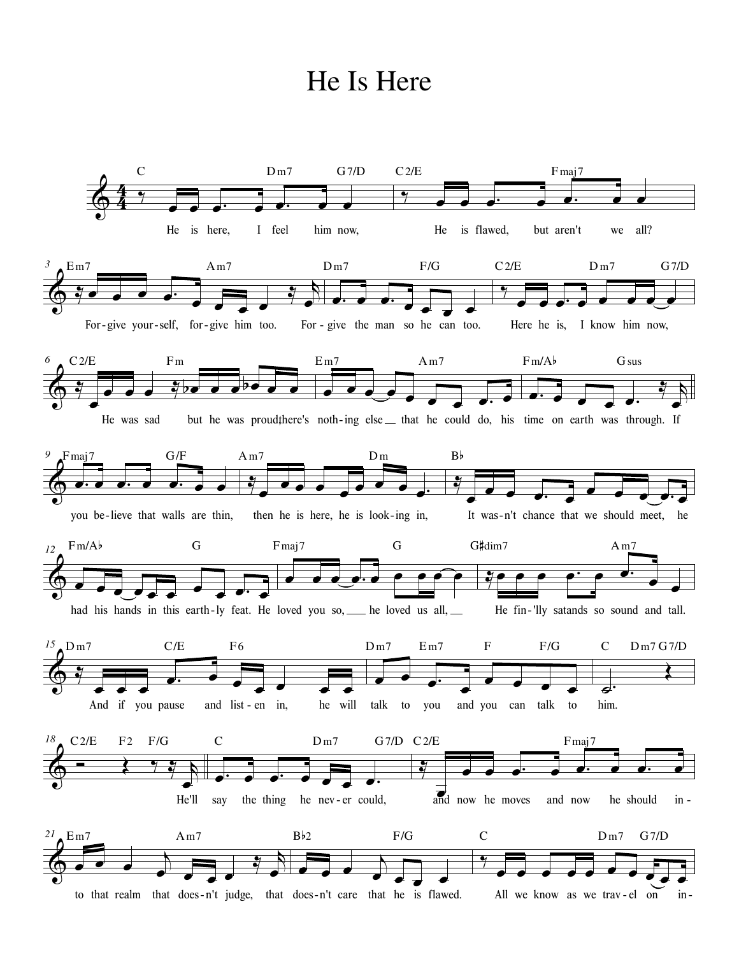## He Is Here